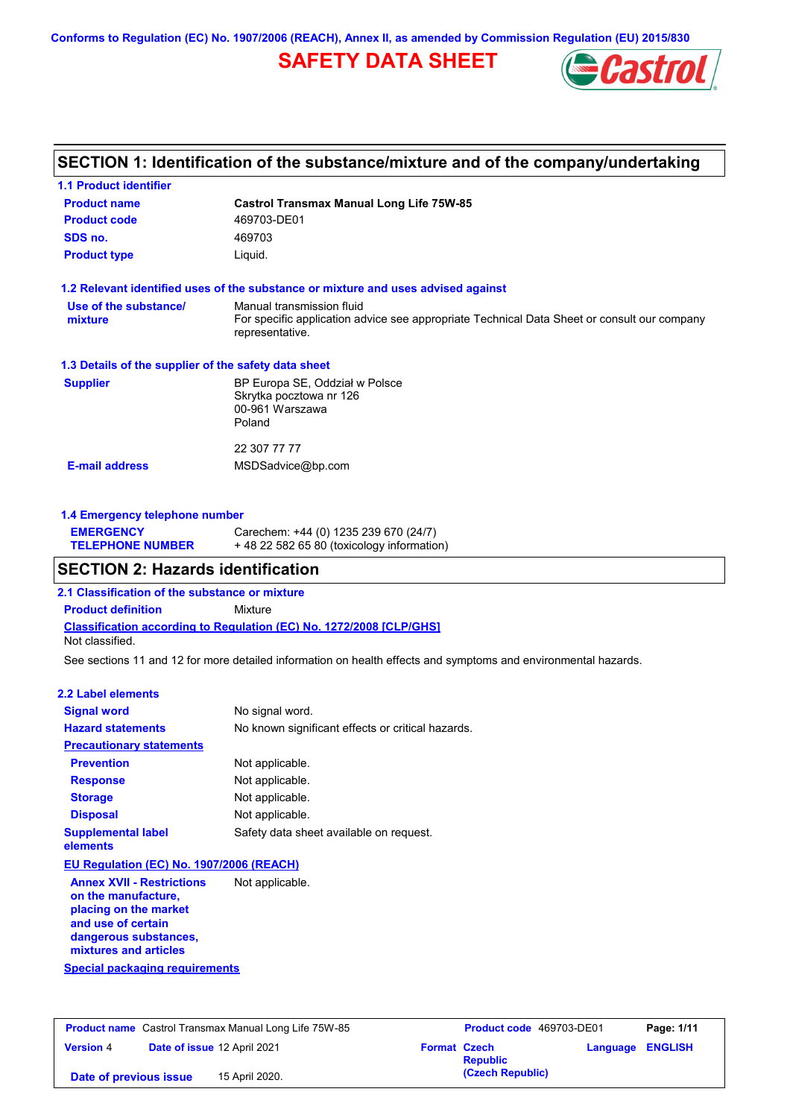**Conforms to Regulation (EC) No. 1907/2006 (REACH), Annex II, as amended by Commission Regulation (EU) 2015/830**

## **SAFETY DATA SHEET**



## **SECTION 1: Identification of the substance/mixture and of the company/undertaking**

| <b>Castrol Transmax Manual Long Life 75W-85</b>                                                                                             |
|---------------------------------------------------------------------------------------------------------------------------------------------|
| 469703-DE01                                                                                                                                 |
| 469703                                                                                                                                      |
| Liquid.                                                                                                                                     |
| 1.2 Relevant identified uses of the substance or mixture and uses advised against                                                           |
| Manual transmission fluid<br>For specific application advice see appropriate Technical Data Sheet or consult our company<br>representative. |
| 1.3 Details of the supplier of the safety data sheet                                                                                        |
| BP Europa SE, Oddział w Polsce<br>Skrytka pocztowa nr 126<br>00-961 Warszawa<br>Poland                                                      |
| 22 307 77 77                                                                                                                                |
| MSDSadvice@bp.com                                                                                                                           |
|                                                                                                                                             |

### **1.4 Emergency telephone number**

| <b>EMERGENCY</b>        | Carechem: +44 (0) 1235 239 670 (24/7)     |
|-------------------------|-------------------------------------------|
| <b>TELEPHONE NUMBER</b> | +48 22 582 65 80 (toxicology information) |

### **SECTION 2: Hazards identification**

**2.1 Classification of the substance or mixture**

**Classification according to Regulation (EC) No. 1272/2008 [CLP/GHS] Product definition** Mixture Not classified.

See sections 11 and 12 for more detailed information on health effects and symptoms and environmental hazards.

#### **2.2 Label elements**

| <b>Signal word</b>                                                                                                                                       | No signal word.                                   |
|----------------------------------------------------------------------------------------------------------------------------------------------------------|---------------------------------------------------|
| <b>Hazard statements</b>                                                                                                                                 | No known significant effects or critical hazards. |
| <b>Precautionary statements</b>                                                                                                                          |                                                   |
| <b>Prevention</b>                                                                                                                                        | Not applicable.                                   |
| <b>Response</b>                                                                                                                                          | Not applicable.                                   |
| <b>Storage</b>                                                                                                                                           | Not applicable.                                   |
| <b>Disposal</b>                                                                                                                                          | Not applicable.                                   |
| <b>Supplemental label</b><br>elements                                                                                                                    | Safety data sheet available on request.           |
| EU Requiation (EC) No. 1907/2006 (REACH)                                                                                                                 |                                                   |
| <b>Annex XVII - Restrictions</b><br>on the manufacture,<br>placing on the market<br>and use of certain<br>dangerous substances,<br>mixtures and articles | Not applicable.                                   |
| Special packaging requirements                                                                                                                           |                                                   |

| <b>Product name</b> Castrol Transmax Manual Long Life 75W-85 |  | Product code 469703-DE01    |                     | Page: 1/11       |                         |  |
|--------------------------------------------------------------|--|-----------------------------|---------------------|------------------|-------------------------|--|
| <b>Version 4</b>                                             |  | Date of issue 12 April 2021 | <b>Format Czech</b> | <b>Republic</b>  | <b>Language ENGLISH</b> |  |
| Date of previous issue                                       |  | 15 April 2020.              |                     | (Czech Republic) |                         |  |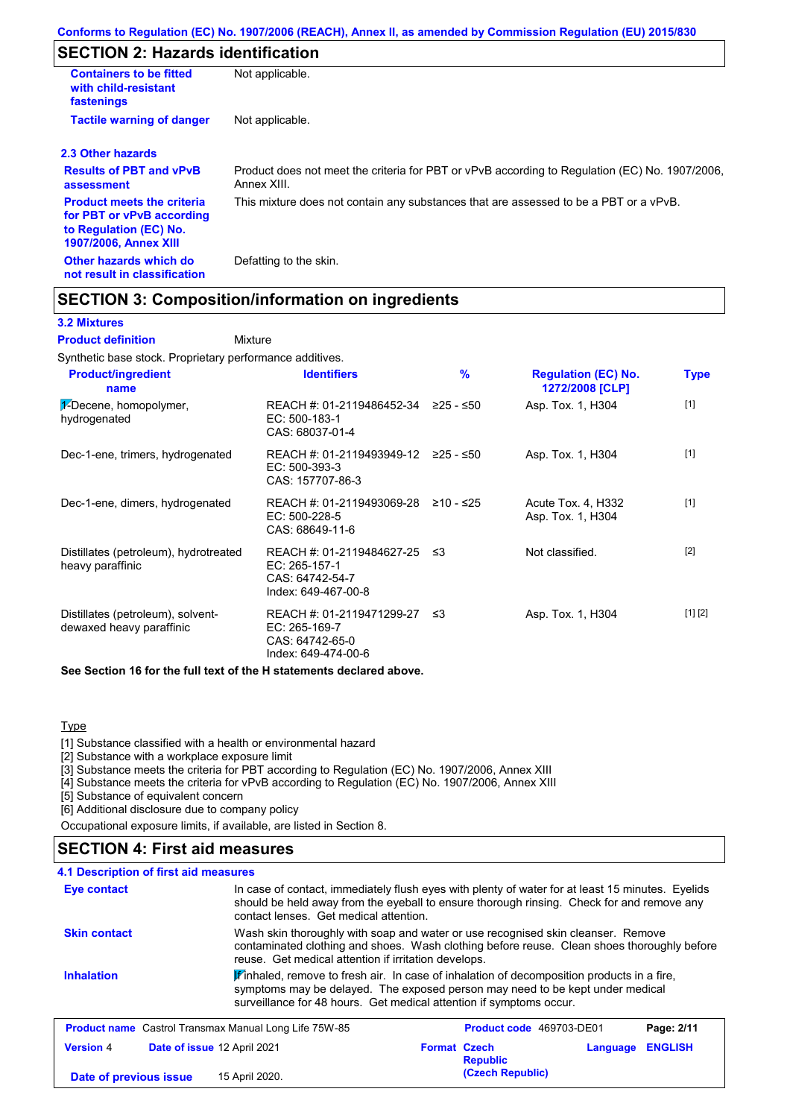# **SECTION 2: Hazards identification**

| <b>Containers to be fitted</b><br>with child-resistant<br>fastenings                                                     | Not applicable.                                                                                               |
|--------------------------------------------------------------------------------------------------------------------------|---------------------------------------------------------------------------------------------------------------|
| <b>Tactile warning of danger</b>                                                                                         | Not applicable.                                                                                               |
| 2.3 Other hazards                                                                                                        |                                                                                                               |
| <b>Results of PBT and vPvB</b><br>assessment                                                                             | Product does not meet the criteria for PBT or vPvB according to Regulation (EC) No. 1907/2006,<br>Annex XIII. |
| <b>Product meets the criteria</b><br>for PBT or vPvB according<br>to Regulation (EC) No.<br><b>1907/2006, Annex XIII</b> | This mixture does not contain any substances that are assessed to be a PBT or a vPvB.                         |
| Other hazards which do<br>not result in classification                                                                   | Defatting to the skin.                                                                                        |

### **SECTION 3: Composition/information on ingredients**

Mixture

#### **3.2 Mixtures**

**Product definition**

Synthetic base stock. Proprietary performance additives.

| <b>Product/ingredient</b><br>name                             | <b>Identifiers</b>                                                                      | $\%$      | <b>Regulation (EC) No.</b><br>1272/2008 [CLP] | <b>Type</b> |
|---------------------------------------------------------------|-----------------------------------------------------------------------------------------|-----------|-----------------------------------------------|-------------|
| $\frac{1}{2}$ -Decene, homopolymer,<br>hydrogenated           | REACH #: 01-2119486452-34<br>EC: 500-183-1<br>CAS: 68037-01-4                           | ≥25 - ≤50 | Asp. Tox. 1, H304                             | $[1]$       |
| Dec-1-ene, trimers, hydrogenated                              | REACH #: 01-2119493949-12 ≥25 - ≤50<br>EC: 500-393-3<br>CAS: 157707-86-3                |           | Asp. Tox. 1, H304                             | $[1]$       |
| Dec-1-ene, dimers, hydrogenated                               | REACH #: 01-2119493069-28<br>EC: 500-228-5<br>CAS: 68649-11-6                           | ≥10 - ≤25 | Acute Tox. 4, H332<br>Asp. Tox. 1, H304       | $[1]$       |
| Distillates (petroleum), hydrotreated<br>heavy paraffinic     | REACH #: 01-2119484627-25 ≤3<br>EC: 265-157-1<br>CAS: 64742-54-7<br>Index: 649-467-00-8 |           | Not classified.                               | $[2]$       |
| Distillates (petroleum), solvent-<br>dewaxed heavy paraffinic | REACH #: 01-2119471299-27<br>EC: 265-169-7<br>CAS: 64742-65-0<br>Index: 649-474-00-6    | ב≥        | Asp. Tox. 1, H304                             | [1] [2]     |

#### **See Section 16 for the full text of the H statements declared above.**

#### Type

[1] Substance classified with a health or environmental hazard

[2] Substance with a workplace exposure limit

[3] Substance meets the criteria for PBT according to Regulation (EC) No. 1907/2006, Annex XIII

[4] Substance meets the criteria for vPvB according to Regulation (EC) No. 1907/2006, Annex XIII

[5] Substance of equivalent concern

[6] Additional disclosure due to company policy

Occupational exposure limits, if available, are listed in Section 8.

## **SECTION 4: First aid measures**

#### **4.1 Description of first aid measures**

| <b>Eye contact</b>     | contact lenses. Get medical attention.                       | In case of contact, immediately flush eyes with plenty of water for at least 15 minutes. Eyelids<br>should be held away from the eyeball to ensure thorough rinsing. Check for and remove any                                                                 |  |  |
|------------------------|--------------------------------------------------------------|---------------------------------------------------------------------------------------------------------------------------------------------------------------------------------------------------------------------------------------------------------------|--|--|
| <b>Skin contact</b>    | reuse. Get medical attention if irritation develops.         | Wash skin thoroughly with soap and water or use recognised skin cleanser. Remove<br>contaminated clothing and shoes. Wash clothing before reuse. Clean shoes thoroughly before                                                                                |  |  |
| <b>Inhalation</b>      |                                                              | $\mathbf{F}$ inhaled, remove to fresh air. In case of inhalation of decomposition products in a fire,<br>symptoms may be delayed. The exposed person may need to be kept under medical<br>surveillance for 48 hours. Get medical attention if symptoms occur. |  |  |
|                        | <b>Product name</b> Castrol Transmax Manual Long Life 75W-85 | Product code 469703-DE01<br>Page: 2/11                                                                                                                                                                                                                        |  |  |
| <b>Version 4</b>       | Date of issue 12 April 2021                                  | <b>Format Czech</b><br><b>ENGLISH</b><br>Language<br><b>Republic</b>                                                                                                                                                                                          |  |  |
| Date of previous issue | 15 April 2020.                                               | (Czech Republic)                                                                                                                                                                                                                                              |  |  |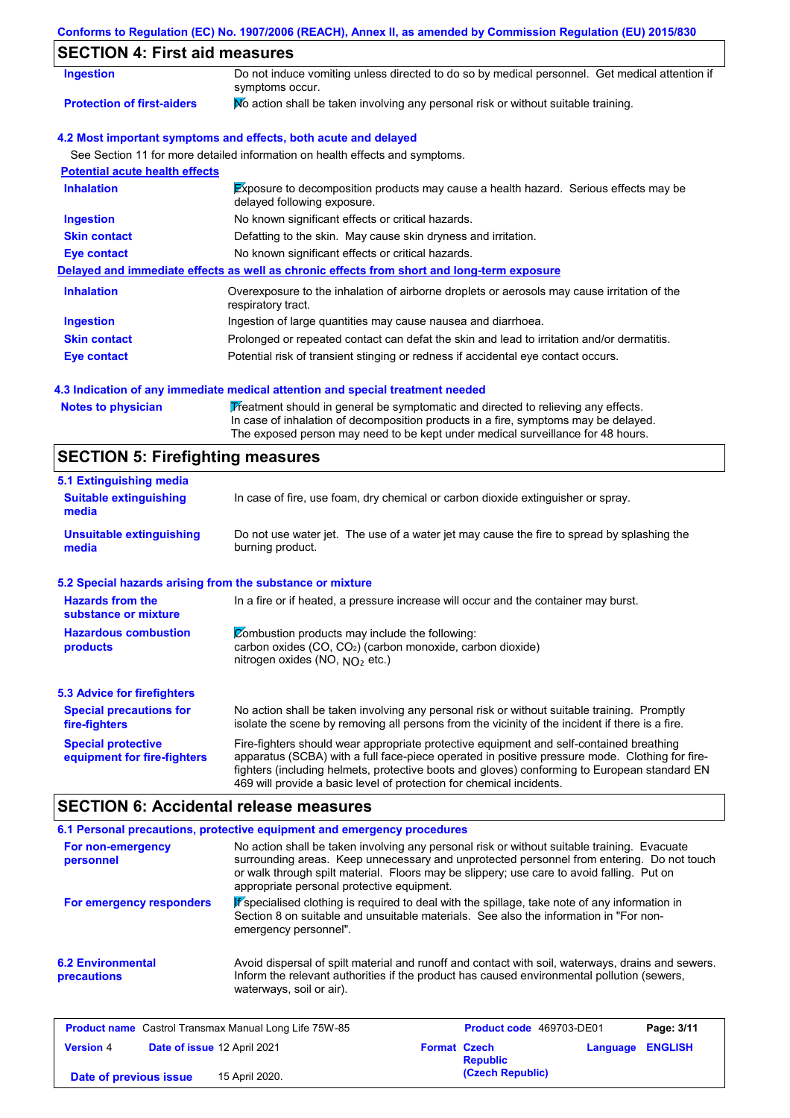#### **Conforms to Regulation (EC) No. 1907/2006 (REACH), Annex II, as amended by Commission Regulation (EU) 2015/830**

## **SECTION 4: First aid measures**

| <b>Ingestion</b>                      | Do not induce vomiting unless directed to do so by medical personnel. Get medical attention if<br>symptoms occur.   |
|---------------------------------------|---------------------------------------------------------------------------------------------------------------------|
| <b>Protection of first-aiders</b>     | No action shall be taken involving any personal risk or without suitable training.                                  |
|                                       | 4.2 Most important symptoms and effects, both acute and delayed                                                     |
|                                       | See Section 11 for more detailed information on health effects and symptoms.                                        |
| <b>Potential acute health effects</b> |                                                                                                                     |
| <b>Inhalation</b>                     | Exposure to decomposition products may cause a health hazard. Serious effects may be<br>delayed following exposure. |
| <b>Ingestion</b>                      | No known significant effects or critical hazards.                                                                   |
| <b>Skin contact</b>                   | Defatting to the skin. May cause skin dryness and irritation.                                                       |
| Eye contact                           | No known significant effects or critical hazards.                                                                   |
|                                       | Delayed and immediate effects as well as chronic effects from short and long-term exposure                          |
| <b>Inhalation</b>                     | Overexposure to the inhalation of airborne droplets or aerosols may cause irritation of the<br>respiratory tract.   |
| <b>Ingestion</b>                      | Ingestion of large quantities may cause nausea and diarrhoea.                                                       |
| <b>Skin contact</b>                   | Prolonged or repeated contact can defat the skin and lead to irritation and/or dermatitis.                          |
| <b>Eye contact</b>                    | Potential risk of transient stinging or redness if accidental eye contact occurs.                                   |

#### **4.3 Indication of any immediate medical attention and special treatment needed**

Notes to physician **Treatment should in general be symptomatic and directed to relieving any effects.** In case of inhalation of decomposition products in a fire, symptoms may be delayed. The exposed person may need to be kept under medical surveillance for 48 hours.

## **SECTION 5: Firefighting measures**

| 5.1 Extinguishing media                                   |                                                                                                                                                                                                                                                                                                                                                                   |  |  |  |
|-----------------------------------------------------------|-------------------------------------------------------------------------------------------------------------------------------------------------------------------------------------------------------------------------------------------------------------------------------------------------------------------------------------------------------------------|--|--|--|
| <b>Suitable extinguishing</b><br>media                    | In case of fire, use foam, dry chemical or carbon dioxide extinguisher or spray.                                                                                                                                                                                                                                                                                  |  |  |  |
| <b>Unsuitable extinguishing</b><br>media                  | Do not use water jet. The use of a water jet may cause the fire to spread by splashing the<br>burning product.                                                                                                                                                                                                                                                    |  |  |  |
| 5.2 Special hazards arising from the substance or mixture |                                                                                                                                                                                                                                                                                                                                                                   |  |  |  |
| <b>Hazards from the</b><br>substance or mixture           | In a fire or if heated, a pressure increase will occur and the container may burst.                                                                                                                                                                                                                                                                               |  |  |  |
| <b>Hazardous combustion</b><br>products                   | Combustion products may include the following:<br>carbon oxides $(CO, CO2)$ (carbon monoxide, carbon dioxide)<br>nitrogen oxides (NO, $NO2$ etc.)                                                                                                                                                                                                                 |  |  |  |
| 5.3 Advice for firefighters                               |                                                                                                                                                                                                                                                                                                                                                                   |  |  |  |
| <b>Special precautions for</b><br>fire-fighters           | No action shall be taken involving any personal risk or without suitable training. Promptly<br>isolate the scene by removing all persons from the vicinity of the incident if there is a fire.                                                                                                                                                                    |  |  |  |
| <b>Special protective</b><br>equipment for fire-fighters  | Fire-fighters should wear appropriate protective equipment and self-contained breathing<br>apparatus (SCBA) with a full face-piece operated in positive pressure mode. Clothing for fire-<br>fighters (including helmets, protective boots and gloves) conforming to European standard EN<br>469 will provide a basic level of protection for chemical incidents. |  |  |  |

## **SECTION 6: Accidental release measures**

| 6.1 Personal precautions, protective equipment and emergency procedures                                                                                                                                                                                                |                                                                                                                                                                                                                                                                                                                                     |                     |                                                                                                                                                                                        |          |                |
|------------------------------------------------------------------------------------------------------------------------------------------------------------------------------------------------------------------------------------------------------------------------|-------------------------------------------------------------------------------------------------------------------------------------------------------------------------------------------------------------------------------------------------------------------------------------------------------------------------------------|---------------------|----------------------------------------------------------------------------------------------------------------------------------------------------------------------------------------|----------|----------------|
| For non-emergency<br>personnel                                                                                                                                                                                                                                         | No action shall be taken involving any personal risk or without suitable training. Evacuate<br>surrounding areas. Keep unnecessary and unprotected personnel from entering. Do not touch<br>or walk through spilt material. Floors may be slippery; use care to avoid falling. Put on<br>appropriate personal protective equipment. |                     |                                                                                                                                                                                        |          |                |
| For emergency responders                                                                                                                                                                                                                                               |                                                                                                                                                                                                                                                                                                                                     |                     | K specialised clothing is required to deal with the spillage, take note of any information in<br>Section 8 on suitable and unsuitable materials. See also the information in "For non- |          |                |
| <b>6.2 Environmental</b><br>Avoid dispersal of spilt material and runoff and contact with soil, waterways, drains and sewers.<br>Inform the relevant authorities if the product has caused environmental pollution (sewers,<br>precautions<br>waterways, soil or air). |                                                                                                                                                                                                                                                                                                                                     |                     |                                                                                                                                                                                        |          |                |
| <b>Product name</b> Castrol Transmax Manual Long Life 75W-85                                                                                                                                                                                                           |                                                                                                                                                                                                                                                                                                                                     |                     | <b>Product code</b> 469703-DE01                                                                                                                                                        |          | Page: 3/11     |
| <b>Version 4</b><br>Date of issue 12 April 2021                                                                                                                                                                                                                        |                                                                                                                                                                                                                                                                                                                                     | <b>Format Czech</b> | <b>Republic</b>                                                                                                                                                                        | Language | <b>ENGLISH</b> |

**(Czech Republic) Date of previous issue** 15 April 2020.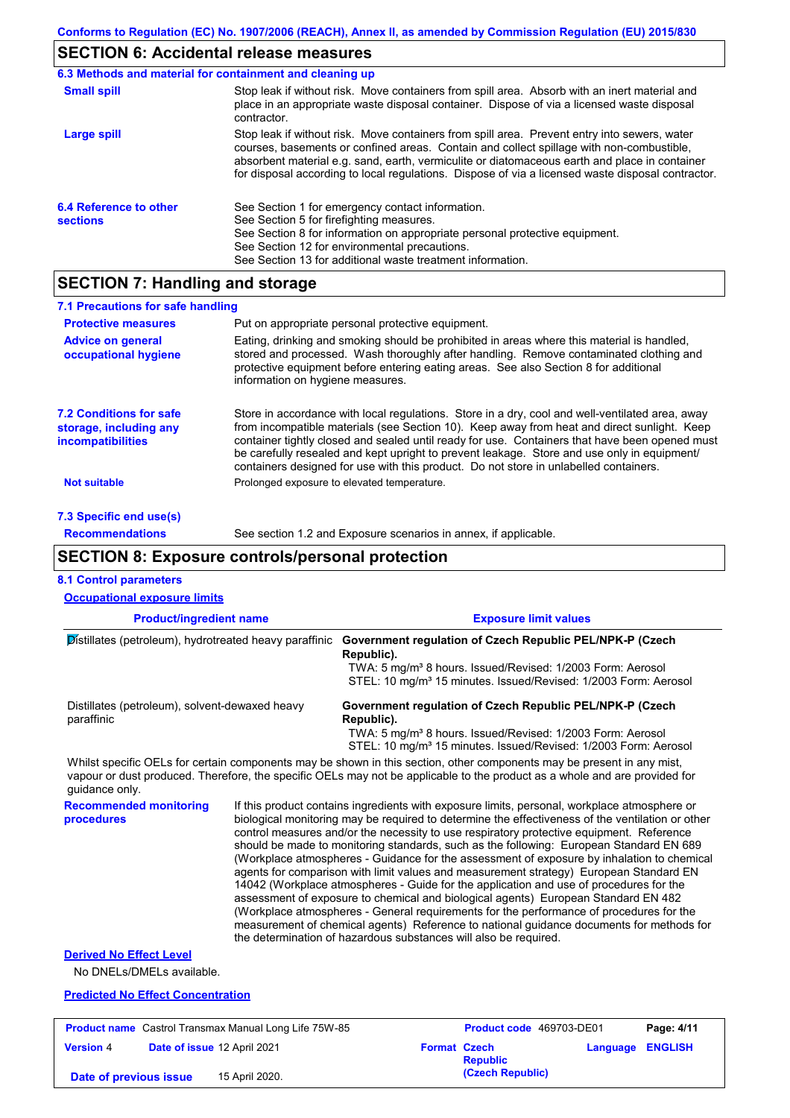# **SECTION 6: Accidental release measures**

|                                           | 6.3 Methods and material for containment and cleaning up                                                                                                                                                                                                                                                                                                                                       |
|-------------------------------------------|------------------------------------------------------------------------------------------------------------------------------------------------------------------------------------------------------------------------------------------------------------------------------------------------------------------------------------------------------------------------------------------------|
| <b>Small spill</b>                        | Stop leak if without risk. Move containers from spill area. Absorb with an inert material and<br>place in an appropriate waste disposal container. Dispose of via a licensed waste disposal<br>contractor.                                                                                                                                                                                     |
| Large spill                               | Stop leak if without risk. Move containers from spill area. Prevent entry into sewers, water<br>courses, basements or confined areas. Contain and collect spillage with non-combustible,<br>absorbent material e.g. sand, earth, vermiculite or diatomaceous earth and place in container<br>for disposal according to local regulations. Dispose of via a licensed waste disposal contractor. |
| 6.4 Reference to other<br><b>sections</b> | See Section 1 for emergency contact information.<br>See Section 5 for firefighting measures.<br>See Section 8 for information on appropriate personal protective equipment.<br>See Section 12 for environmental precautions.<br>See Section 13 for additional waste treatment information.                                                                                                     |

## **SECTION 7: Handling and storage**

| 7.1 Precautions for safe handling                                                    |                                                                                                                                                                                                                                                                                                                                                                                                                                                                                          |
|--------------------------------------------------------------------------------------|------------------------------------------------------------------------------------------------------------------------------------------------------------------------------------------------------------------------------------------------------------------------------------------------------------------------------------------------------------------------------------------------------------------------------------------------------------------------------------------|
| <b>Protective measures</b>                                                           | Put on appropriate personal protective equipment.                                                                                                                                                                                                                                                                                                                                                                                                                                        |
| <b>Advice on general</b><br>occupational hygiene                                     | Eating, drinking and smoking should be prohibited in areas where this material is handled.<br>stored and processed. Wash thoroughly after handling. Remove contaminated clothing and<br>protective equipment before entering eating areas. See also Section 8 for additional<br>information on hygiene measures.                                                                                                                                                                         |
| <b>7.2 Conditions for safe</b><br>storage, including any<br><i>incompatibilities</i> | Store in accordance with local requlations. Store in a dry, cool and well-ventilated area, away<br>from incompatible materials (see Section 10). Keep away from heat and direct sunlight. Keep<br>container tightly closed and sealed until ready for use. Containers that have been opened must<br>be carefully resealed and kept upright to prevent leakage. Store and use only in equipment/<br>containers designed for use with this product. Do not store in unlabelled containers. |
| <b>Not suitable</b>                                                                  | Prolonged exposure to elevated temperature.                                                                                                                                                                                                                                                                                                                                                                                                                                              |
| 7.3 Specific end use(s)                                                              |                                                                                                                                                                                                                                                                                                                                                                                                                                                                                          |
| <b>Recommendations</b>                                                               | See section 1.2 and Exposure scenarios in annex, if applicable.                                                                                                                                                                                                                                                                                                                                                                                                                          |

# **SECTION 8: Exposure controls/personal protection**

| <b>8.1 Control parameters</b>                                                                                                                                                                                                                                          |                                                                                                                                                                                                                                                                                                                                                                                                                                                                                                                                                                                                                                                                                                                                                                                                                                                                                                                                                                                                                            |                              |          |                |
|------------------------------------------------------------------------------------------------------------------------------------------------------------------------------------------------------------------------------------------------------------------------|----------------------------------------------------------------------------------------------------------------------------------------------------------------------------------------------------------------------------------------------------------------------------------------------------------------------------------------------------------------------------------------------------------------------------------------------------------------------------------------------------------------------------------------------------------------------------------------------------------------------------------------------------------------------------------------------------------------------------------------------------------------------------------------------------------------------------------------------------------------------------------------------------------------------------------------------------------------------------------------------------------------------------|------------------------------|----------|----------------|
| <b>Occupational exposure limits</b>                                                                                                                                                                                                                                    |                                                                                                                                                                                                                                                                                                                                                                                                                                                                                                                                                                                                                                                                                                                                                                                                                                                                                                                                                                                                                            |                              |          |                |
| <b>Product/ingredient name</b>                                                                                                                                                                                                                                         |                                                                                                                                                                                                                                                                                                                                                                                                                                                                                                                                                                                                                                                                                                                                                                                                                                                                                                                                                                                                                            | <b>Exposure limit values</b> |          |                |
| Distillates (petroleum), hydrotreated heavy paraffinic                                                                                                                                                                                                                 | Government regulation of Czech Republic PEL/NPK-P (Czech<br>Republic).<br>TWA: 5 mg/m <sup>3</sup> 8 hours. Issued/Revised: 1/2003 Form: Aerosol<br>STEL: 10 mg/m <sup>3</sup> 15 minutes. Issued/Revised: 1/2003 Form: Aerosol                                                                                                                                                                                                                                                                                                                                                                                                                                                                                                                                                                                                                                                                                                                                                                                            |                              |          |                |
| Distillates (petroleum), solvent-dewaxed heavy<br>paraffinic                                                                                                                                                                                                           | Government regulation of Czech Republic PEL/NPK-P (Czech<br>Republic).<br>TWA: 5 mg/m <sup>3</sup> 8 hours. Issued/Revised: 1/2003 Form: Aerosol<br>STEL: 10 mg/m <sup>3</sup> 15 minutes. Issued/Revised: 1/2003 Form: Aerosol                                                                                                                                                                                                                                                                                                                                                                                                                                                                                                                                                                                                                                                                                                                                                                                            |                              |          |                |
| Whilst specific OELs for certain components may be shown in this section, other components may be present in any mist,<br>vapour or dust produced. Therefore, the specific OELs may not be applicable to the product as a whole and are provided for<br>quidance only. |                                                                                                                                                                                                                                                                                                                                                                                                                                                                                                                                                                                                                                                                                                                                                                                                                                                                                                                                                                                                                            |                              |          |                |
| <b>Recommended monitoring</b><br>procedures                                                                                                                                                                                                                            | If this product contains ingredients with exposure limits, personal, workplace atmosphere or<br>biological monitoring may be required to determine the effectiveness of the ventilation or other<br>control measures and/or the necessity to use respiratory protective equipment. Reference<br>should be made to monitoring standards, such as the following: European Standard EN 689<br>(Workplace atmospheres - Guidance for the assessment of exposure by inhalation to chemical<br>agents for comparison with limit values and measurement strategy) European Standard EN<br>14042 (Workplace atmospheres - Guide for the application and use of procedures for the<br>assessment of exposure to chemical and biological agents) European Standard EN 482<br>(Workplace atmospheres - General requirements for the performance of procedures for the<br>measurement of chemical agents) Reference to national guidance documents for methods for<br>the determination of hazardous substances will also be required. |                              |          |                |
| <b>Derived No Effect Level</b>                                                                                                                                                                                                                                         |                                                                                                                                                                                                                                                                                                                                                                                                                                                                                                                                                                                                                                                                                                                                                                                                                                                                                                                                                                                                                            |                              |          |                |
| No DNELs/DMELs available.                                                                                                                                                                                                                                              |                                                                                                                                                                                                                                                                                                                                                                                                                                                                                                                                                                                                                                                                                                                                                                                                                                                                                                                                                                                                                            |                              |          |                |
| <b>Predicted No Effect Concentration</b>                                                                                                                                                                                                                               |                                                                                                                                                                                                                                                                                                                                                                                                                                                                                                                                                                                                                                                                                                                                                                                                                                                                                                                                                                                                                            |                              |          |                |
| <b>Product name</b> Castrol Transmax Manual Long Life 75W-85                                                                                                                                                                                                           |                                                                                                                                                                                                                                                                                                                                                                                                                                                                                                                                                                                                                                                                                                                                                                                                                                                                                                                                                                                                                            | Product code 469703-DE01     |          | Page: 4/11     |
| <b>Version 4</b><br>Date of issue 12 April 2021                                                                                                                                                                                                                        | <b>Format Czech</b>                                                                                                                                                                                                                                                                                                                                                                                                                                                                                                                                                                                                                                                                                                                                                                                                                                                                                                                                                                                                        | <b>Republic</b>              | Language | <b>ENGLISH</b> |

**(Czech Republic) Date of previous issue** 15 April 2020.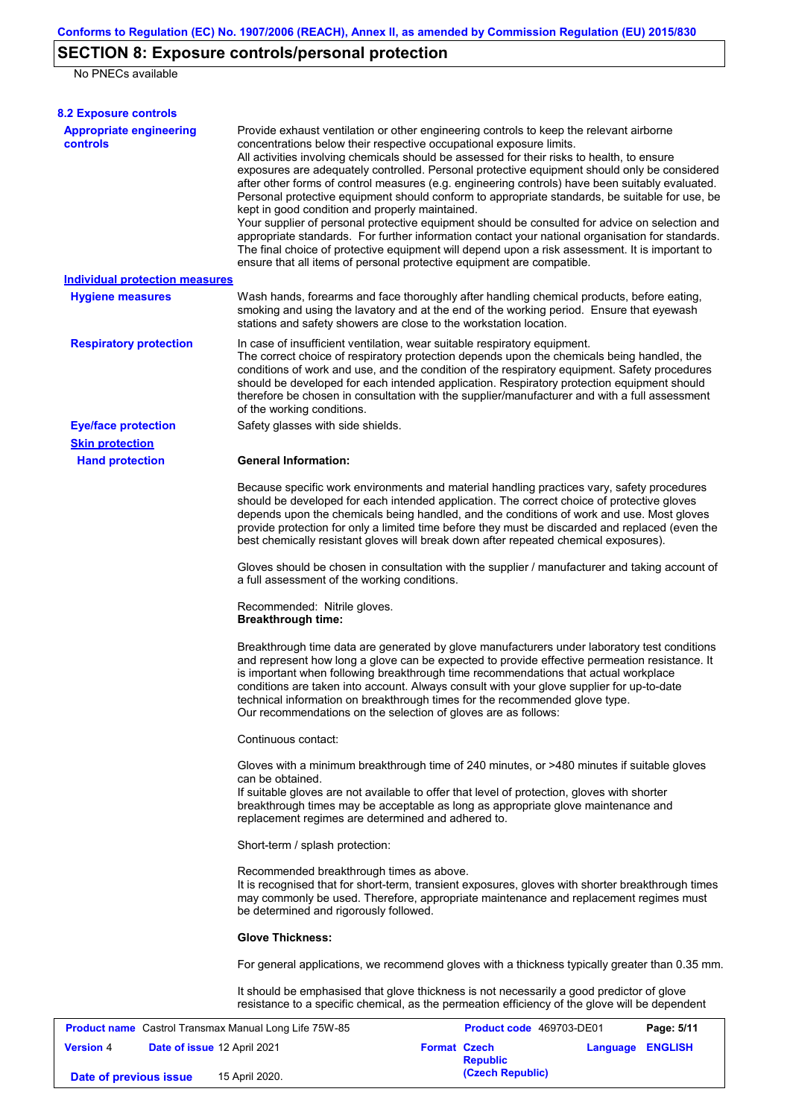## **SECTION 8: Exposure controls/personal protection**

No PNECs available

| <b>8.2 Exposure controls</b>                                 |                                                                                                                                                                                                                                                                                                                                                                                                                                                                                                                                                                                                                                                                                                                                                                                                                                                                                                                                                                                                         |                     |                                     |                  |            |
|--------------------------------------------------------------|---------------------------------------------------------------------------------------------------------------------------------------------------------------------------------------------------------------------------------------------------------------------------------------------------------------------------------------------------------------------------------------------------------------------------------------------------------------------------------------------------------------------------------------------------------------------------------------------------------------------------------------------------------------------------------------------------------------------------------------------------------------------------------------------------------------------------------------------------------------------------------------------------------------------------------------------------------------------------------------------------------|---------------------|-------------------------------------|------------------|------------|
| <b>Appropriate engineering</b><br>controls                   | Provide exhaust ventilation or other engineering controls to keep the relevant airborne<br>concentrations below their respective occupational exposure limits.<br>All activities involving chemicals should be assessed for their risks to health, to ensure<br>exposures are adequately controlled. Personal protective equipment should only be considered<br>after other forms of control measures (e.g. engineering controls) have been suitably evaluated.<br>Personal protective equipment should conform to appropriate standards, be suitable for use, be<br>kept in good condition and properly maintained.<br>Your supplier of personal protective equipment should be consulted for advice on selection and<br>appropriate standards. For further information contact your national organisation for standards.<br>The final choice of protective equipment will depend upon a risk assessment. It is important to<br>ensure that all items of personal protective equipment are compatible. |                     |                                     |                  |            |
| <b>Individual protection measures</b>                        |                                                                                                                                                                                                                                                                                                                                                                                                                                                                                                                                                                                                                                                                                                                                                                                                                                                                                                                                                                                                         |                     |                                     |                  |            |
| <b>Hygiene measures</b>                                      | Wash hands, forearms and face thoroughly after handling chemical products, before eating,<br>smoking and using the lavatory and at the end of the working period. Ensure that eyewash<br>stations and safety showers are close to the workstation location.                                                                                                                                                                                                                                                                                                                                                                                                                                                                                                                                                                                                                                                                                                                                             |                     |                                     |                  |            |
| <b>Respiratory protection</b>                                | In case of insufficient ventilation, wear suitable respiratory equipment.<br>The correct choice of respiratory protection depends upon the chemicals being handled, the<br>conditions of work and use, and the condition of the respiratory equipment. Safety procedures<br>should be developed for each intended application. Respiratory protection equipment should<br>therefore be chosen in consultation with the supplier/manufacturer and with a full assessment<br>of the working conditions.                                                                                                                                                                                                                                                                                                                                                                                                                                                                                                   |                     |                                     |                  |            |
| <b>Eye/face protection</b>                                   | Safety glasses with side shields.                                                                                                                                                                                                                                                                                                                                                                                                                                                                                                                                                                                                                                                                                                                                                                                                                                                                                                                                                                       |                     |                                     |                  |            |
| <b>Skin protection</b>                                       | <b>General Information:</b>                                                                                                                                                                                                                                                                                                                                                                                                                                                                                                                                                                                                                                                                                                                                                                                                                                                                                                                                                                             |                     |                                     |                  |            |
| <b>Hand protection</b>                                       | Because specific work environments and material handling practices vary, safety procedures<br>should be developed for each intended application. The correct choice of protective gloves<br>depends upon the chemicals being handled, and the conditions of work and use. Most gloves<br>provide protection for only a limited time before they must be discarded and replaced (even the<br>best chemically resistant gloves will break down after repeated chemical exposures).                                                                                                                                                                                                                                                                                                                                                                                                                                                                                                                        |                     |                                     |                  |            |
|                                                              | Gloves should be chosen in consultation with the supplier / manufacturer and taking account of<br>a full assessment of the working conditions.                                                                                                                                                                                                                                                                                                                                                                                                                                                                                                                                                                                                                                                                                                                                                                                                                                                          |                     |                                     |                  |            |
|                                                              | Recommended: Nitrile gloves.<br><b>Breakthrough time:</b>                                                                                                                                                                                                                                                                                                                                                                                                                                                                                                                                                                                                                                                                                                                                                                                                                                                                                                                                               |                     |                                     |                  |            |
|                                                              | Breakthrough time data are generated by glove manufacturers under laboratory test conditions<br>and represent how long a glove can be expected to provide effective permeation resistance. It<br>is important when following breakthrough time recommendations that actual workplace<br>conditions are taken into account. Always consult with your glove supplier for up-to-date<br>technical information on breakthrough times for the recommended glove type.<br>Our recommendations on the selection of gloves are as follows:                                                                                                                                                                                                                                                                                                                                                                                                                                                                      |                     |                                     |                  |            |
|                                                              | Continuous contact:                                                                                                                                                                                                                                                                                                                                                                                                                                                                                                                                                                                                                                                                                                                                                                                                                                                                                                                                                                                     |                     |                                     |                  |            |
|                                                              | Gloves with a minimum breakthrough time of 240 minutes, or >480 minutes if suitable gloves<br>can be obtained.<br>If suitable gloves are not available to offer that level of protection, gloves with shorter<br>breakthrough times may be acceptable as long as appropriate glove maintenance and                                                                                                                                                                                                                                                                                                                                                                                                                                                                                                                                                                                                                                                                                                      |                     |                                     |                  |            |
|                                                              | replacement regimes are determined and adhered to.                                                                                                                                                                                                                                                                                                                                                                                                                                                                                                                                                                                                                                                                                                                                                                                                                                                                                                                                                      |                     |                                     |                  |            |
|                                                              | Short-term / splash protection:                                                                                                                                                                                                                                                                                                                                                                                                                                                                                                                                                                                                                                                                                                                                                                                                                                                                                                                                                                         |                     |                                     |                  |            |
|                                                              | Recommended breakthrough times as above.<br>It is recognised that for short-term, transient exposures, gloves with shorter breakthrough times<br>may commonly be used. Therefore, appropriate maintenance and replacement regimes must<br>be determined and rigorously followed.                                                                                                                                                                                                                                                                                                                                                                                                                                                                                                                                                                                                                                                                                                                        |                     |                                     |                  |            |
|                                                              | <b>Glove Thickness:</b>                                                                                                                                                                                                                                                                                                                                                                                                                                                                                                                                                                                                                                                                                                                                                                                                                                                                                                                                                                                 |                     |                                     |                  |            |
|                                                              | For general applications, we recommend gloves with a thickness typically greater than 0.35 mm.                                                                                                                                                                                                                                                                                                                                                                                                                                                                                                                                                                                                                                                                                                                                                                                                                                                                                                          |                     |                                     |                  |            |
|                                                              | It should be emphasised that glove thickness is not necessarily a good predictor of glove<br>resistance to a specific chemical, as the permeation efficiency of the glove will be dependent                                                                                                                                                                                                                                                                                                                                                                                                                                                                                                                                                                                                                                                                                                                                                                                                             |                     |                                     |                  |            |
| <b>Product name</b> Castrol Transmax Manual Long Life 75W-85 |                                                                                                                                                                                                                                                                                                                                                                                                                                                                                                                                                                                                                                                                                                                                                                                                                                                                                                                                                                                                         |                     | Product code 469703-DE01            |                  | Page: 5/11 |
| <b>Version 4</b><br>Date of issue 12 April 2021              |                                                                                                                                                                                                                                                                                                                                                                                                                                                                                                                                                                                                                                                                                                                                                                                                                                                                                                                                                                                                         | <b>Format Czech</b> | <b>Republic</b><br>(Czech Republic) | Language ENGLISH |            |
| Date of previous issue                                       | 15 April 2020.                                                                                                                                                                                                                                                                                                                                                                                                                                                                                                                                                                                                                                                                                                                                                                                                                                                                                                                                                                                          |                     |                                     |                  |            |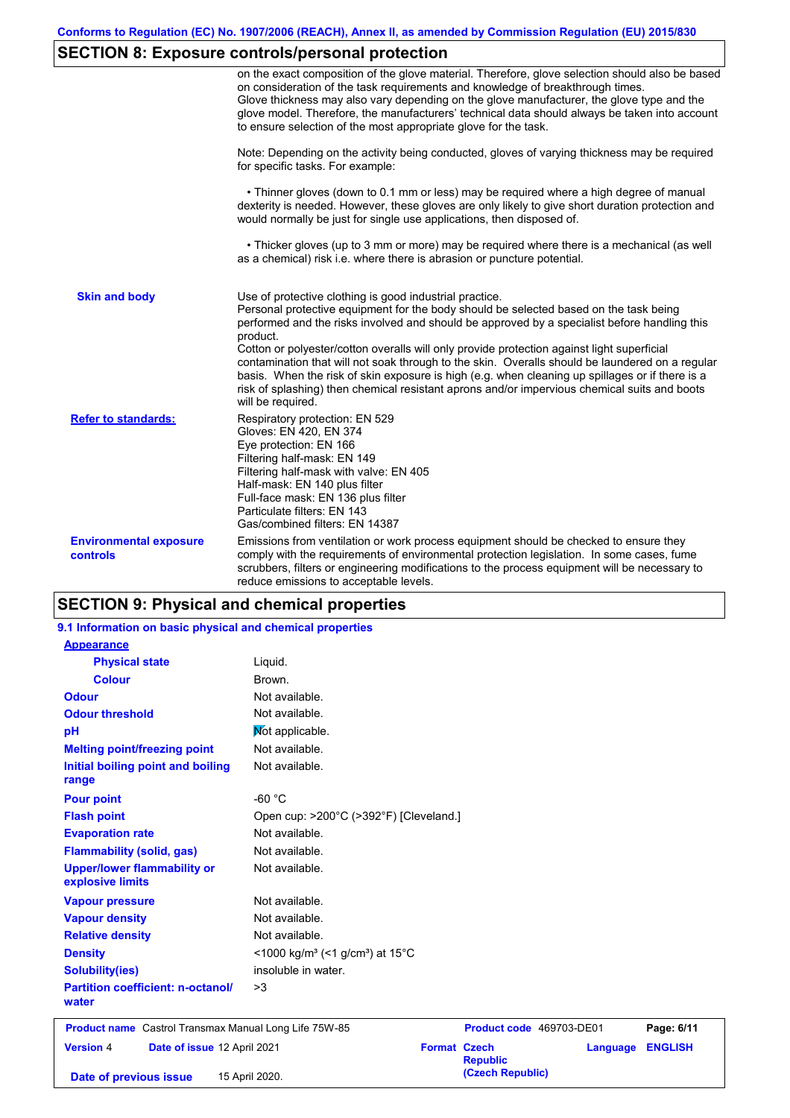## **SECTION 8: Exposure controls/personal protection**

|                                                  | on the exact composition of the glove material. Therefore, glove selection should also be based<br>on consideration of the task requirements and knowledge of breakthrough times.<br>Glove thickness may also vary depending on the glove manufacturer, the glove type and the<br>glove model. Therefore, the manufacturers' technical data should always be taken into account<br>to ensure selection of the most appropriate glove for the task.                                                                                                                                                                                                                                    |
|--------------------------------------------------|---------------------------------------------------------------------------------------------------------------------------------------------------------------------------------------------------------------------------------------------------------------------------------------------------------------------------------------------------------------------------------------------------------------------------------------------------------------------------------------------------------------------------------------------------------------------------------------------------------------------------------------------------------------------------------------|
|                                                  | Note: Depending on the activity being conducted, gloves of varying thickness may be required<br>for specific tasks. For example:                                                                                                                                                                                                                                                                                                                                                                                                                                                                                                                                                      |
|                                                  | • Thinner gloves (down to 0.1 mm or less) may be required where a high degree of manual<br>dexterity is needed. However, these gloves are only likely to give short duration protection and<br>would normally be just for single use applications, then disposed of.                                                                                                                                                                                                                                                                                                                                                                                                                  |
|                                                  | • Thicker gloves (up to 3 mm or more) may be required where there is a mechanical (as well<br>as a chemical) risk i.e. where there is abrasion or puncture potential.                                                                                                                                                                                                                                                                                                                                                                                                                                                                                                                 |
| <b>Skin and body</b>                             | Use of protective clothing is good industrial practice.<br>Personal protective equipment for the body should be selected based on the task being<br>performed and the risks involved and should be approved by a specialist before handling this<br>product.<br>Cotton or polyester/cotton overalls will only provide protection against light superficial<br>contamination that will not soak through to the skin. Overalls should be laundered on a regular<br>basis. When the risk of skin exposure is high (e.g. when cleaning up spillages or if there is a<br>risk of splashing) then chemical resistant aprons and/or impervious chemical suits and boots<br>will be required. |
| <b>Refer to standards:</b>                       | Respiratory protection: EN 529<br>Gloves: EN 420, EN 374<br>Eye protection: EN 166<br>Filtering half-mask: EN 149<br>Filtering half-mask with valve: EN 405<br>Half-mask: EN 140 plus filter<br>Full-face mask: EN 136 plus filter<br>Particulate filters: EN 143<br>Gas/combined filters: EN 14387                                                                                                                                                                                                                                                                                                                                                                                   |
| <b>Environmental exposure</b><br><b>controls</b> | Emissions from ventilation or work process equipment should be checked to ensure they<br>comply with the requirements of environmental protection legislation. In some cases, fume<br>scrubbers, filters or engineering modifications to the process equipment will be necessary to<br>reduce emissions to acceptable levels.                                                                                                                                                                                                                                                                                                                                                         |

# **SECTION 9: Physical and chemical properties**

| 9.1 Information on basic physical and chemical properties                 |                                                         |                                                                        |                |
|---------------------------------------------------------------------------|---------------------------------------------------------|------------------------------------------------------------------------|----------------|
| <b>Appearance</b>                                                         |                                                         |                                                                        |                |
| <b>Physical state</b>                                                     | Liquid.                                                 |                                                                        |                |
| <b>Colour</b>                                                             | Brown.                                                  |                                                                        |                |
| <b>Odour</b>                                                              | Not available.                                          |                                                                        |                |
| <b>Odour threshold</b>                                                    | Not available.                                          |                                                                        |                |
| pH                                                                        | Mot applicable.                                         |                                                                        |                |
| <b>Melting point/freezing point</b>                                       | Not available.                                          |                                                                        |                |
| Initial boiling point and boiling<br>range                                | Not available.                                          |                                                                        |                |
| <b>Pour point</b>                                                         | $-60 °C$                                                |                                                                        |                |
| <b>Flash point</b>                                                        | Open cup: >200°C (>392°F) [Cleveland.]                  |                                                                        |                |
| <b>Evaporation rate</b>                                                   | Not available.                                          |                                                                        |                |
| <b>Flammability (solid, gas)</b>                                          | Not available.                                          |                                                                        |                |
| <b>Upper/lower flammability or</b><br>explosive limits                    | Not available.                                          |                                                                        |                |
| <b>Vapour pressure</b>                                                    | Not available.                                          |                                                                        |                |
| <b>Vapour density</b>                                                     | Not available.                                          |                                                                        |                |
| <b>Relative density</b>                                                   | Not available.                                          |                                                                        |                |
| <b>Density</b>                                                            | <1000 kg/m <sup>3</sup> (<1 g/cm <sup>3</sup> ) at 15°C |                                                                        |                |
| <b>Solubility(ies)</b>                                                    | insoluble in water.                                     |                                                                        |                |
| <b>Partition coefficient: n-octanol/</b><br>water                         | >3                                                      |                                                                        |                |
| Product name Castrol Transmax Manual Long Life 75W-85                     |                                                         | Product code 469703-DE01                                               | Page: 6/11     |
| Date of issue 12 April 2021<br><b>Version 4</b><br>Date of previous issue | 15 April 2020.                                          | <b>Format Czech</b><br>Language<br><b>Republic</b><br>(Czech Republic) | <b>ENGLISH</b> |
|                                                                           |                                                         |                                                                        |                |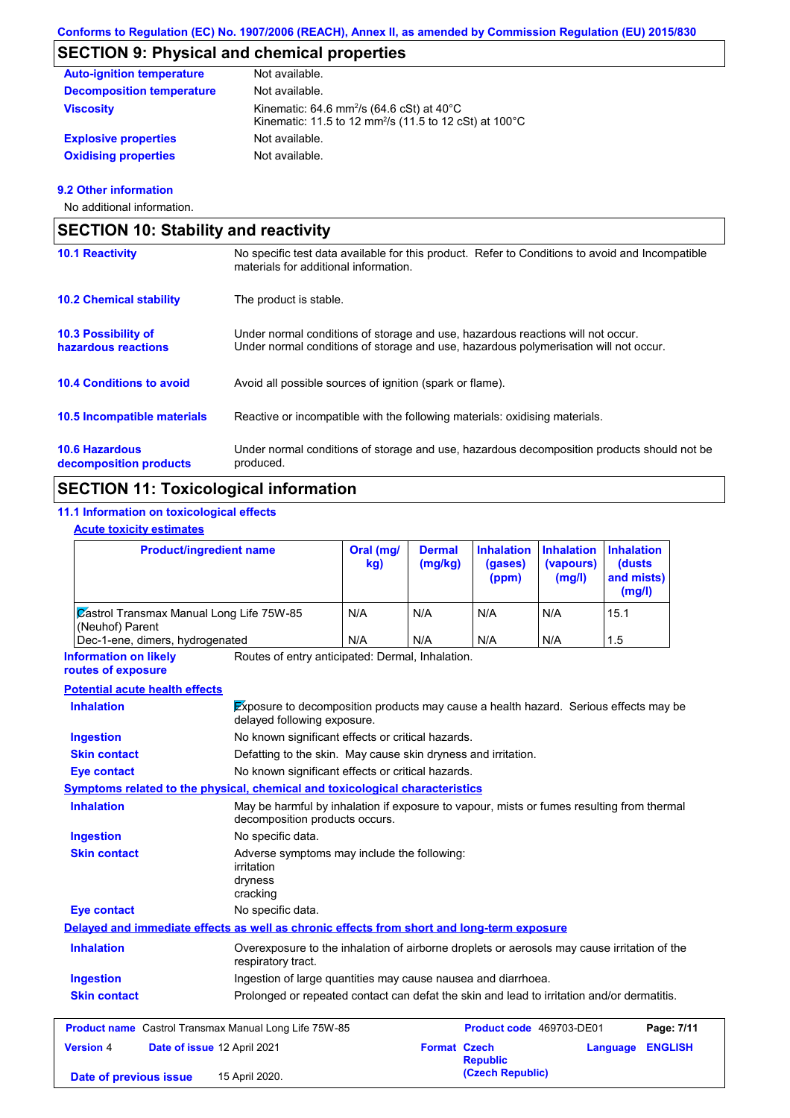## **SECTION 9: Physical and chemical properties**

| <b>Auto-ignition temperature</b> | Not available.                                                                                                                        |
|----------------------------------|---------------------------------------------------------------------------------------------------------------------------------------|
| <b>Decomposition temperature</b> | Not available.                                                                                                                        |
| <b>Viscosity</b>                 | Kinematic: 64.6 mm <sup>2</sup> /s (64.6 cSt) at $40^{\circ}$ C<br>Kinematic: 11.5 to 12 mm <sup>2</sup> /s (11.5 to 12 cSt) at 100°C |
| <b>Explosive properties</b>      | Not available.                                                                                                                        |
| <b>Oxidising properties</b>      | Not available.                                                                                                                        |

### **9.2 Other information**

No additional information.

| <b>SECTION 10: Stability and reactivity</b>     |                                                                                                                                                                         |  |  |
|-------------------------------------------------|-------------------------------------------------------------------------------------------------------------------------------------------------------------------------|--|--|
| <b>10.1 Reactivity</b>                          | No specific test data available for this product. Refer to Conditions to avoid and Incompatible<br>materials for additional information.                                |  |  |
| <b>10.2 Chemical stability</b>                  | The product is stable.                                                                                                                                                  |  |  |
| 10.3 Possibility of<br>hazardous reactions      | Under normal conditions of storage and use, hazardous reactions will not occur.<br>Under normal conditions of storage and use, hazardous polymerisation will not occur. |  |  |
| <b>10.4 Conditions to avoid</b>                 | Avoid all possible sources of ignition (spark or flame).                                                                                                                |  |  |
| 10.5 Incompatible materials                     | Reactive or incompatible with the following materials: oxidising materials.                                                                                             |  |  |
| <b>10.6 Hazardous</b><br>decomposition products | Under normal conditions of storage and use, hazardous decomposition products should not be<br>produced.                                                                 |  |  |

## **SECTION 11: Toxicological information**

## **11.1 Information on toxicological effects**

### **Acute toxicity estimates**

| <b>Product/ingredient name</b>                                     | Oral (mg/<br>kg) | <b>Dermal</b><br>(mg/kg) | <b>Inhalation</b><br>(gases)<br>(ppm) | <b>Inhalation Inhalation</b><br>(vapours)<br>(mg/l) | (dusts)<br>and mists)<br>(mg/l) |
|--------------------------------------------------------------------|------------------|--------------------------|---------------------------------------|-----------------------------------------------------|---------------------------------|
| <b>Zastrol Transmax Manual Long Life 75W-85</b><br>(Neuhof) Parent | N/A              | N/A                      | N/A                                   | N/A                                                 | 15.1                            |
| Dec-1-ene, dimers, hydrogenated                                    | N/A              | N/A                      | N/A                                   | N/A                                                 | 1.5                             |

**Information on likely routes of exposure**

Routes of entry anticipated: Dermal, Inhalation.

#### **Potential acute health effects**

| <b>Version 4</b><br>Date of previous issue | Date of issue 12 April 2021<br>15 April 2020.                                              | <b>Format Czech</b><br><b>Republic</b><br>(Czech Republic)                                  | Language | <b>ENGLISH</b> |
|--------------------------------------------|--------------------------------------------------------------------------------------------|---------------------------------------------------------------------------------------------|----------|----------------|
|                                            | <b>Product name</b> Castrol Transmax Manual Long Life 75W-85                               | Product code 469703-DE01                                                                    |          | Page: 7/11     |
| <b>Skin contact</b>                        |                                                                                            | Prolonged or repeated contact can defat the skin and lead to irritation and/or dermatitis.  |          |                |
| <b>Ingestion</b>                           |                                                                                            | Ingestion of large quantities may cause nausea and diarrhoea.                               |          |                |
| <b>Inhalation</b>                          | respiratory tract.                                                                         | Overexposure to the inhalation of airborne droplets or aerosols may cause irritation of the |          |                |
|                                            | Delayed and immediate effects as well as chronic effects from short and long-term exposure |                                                                                             |          |                |
| <b>Eye contact</b>                         | No specific data.                                                                          |                                                                                             |          |                |
| <b>Skin contact</b>                        | Adverse symptoms may include the following:<br>irritation<br>dryness<br>cracking           |                                                                                             |          |                |
| <b>Ingestion</b>                           | No specific data.                                                                          |                                                                                             |          |                |
| <b>Inhalation</b>                          | decomposition products occurs.                                                             | May be harmful by inhalation if exposure to vapour, mists or fumes resulting from thermal   |          |                |
|                                            | <b>Symptoms related to the physical, chemical and toxicological characteristics</b>        |                                                                                             |          |                |
| <b>Eye contact</b>                         | No known significant effects or critical hazards.                                          |                                                                                             |          |                |
| <b>Skin contact</b>                        |                                                                                            | Defatting to the skin. May cause skin dryness and irritation.                               |          |                |
| <b>Ingestion</b>                           | No known significant effects or critical hazards.                                          |                                                                                             |          |                |
| <b>Inhalation</b>                          | delayed following exposure.                                                                | Exposure to decomposition products may cause a health hazard. Serious effects may be        |          |                |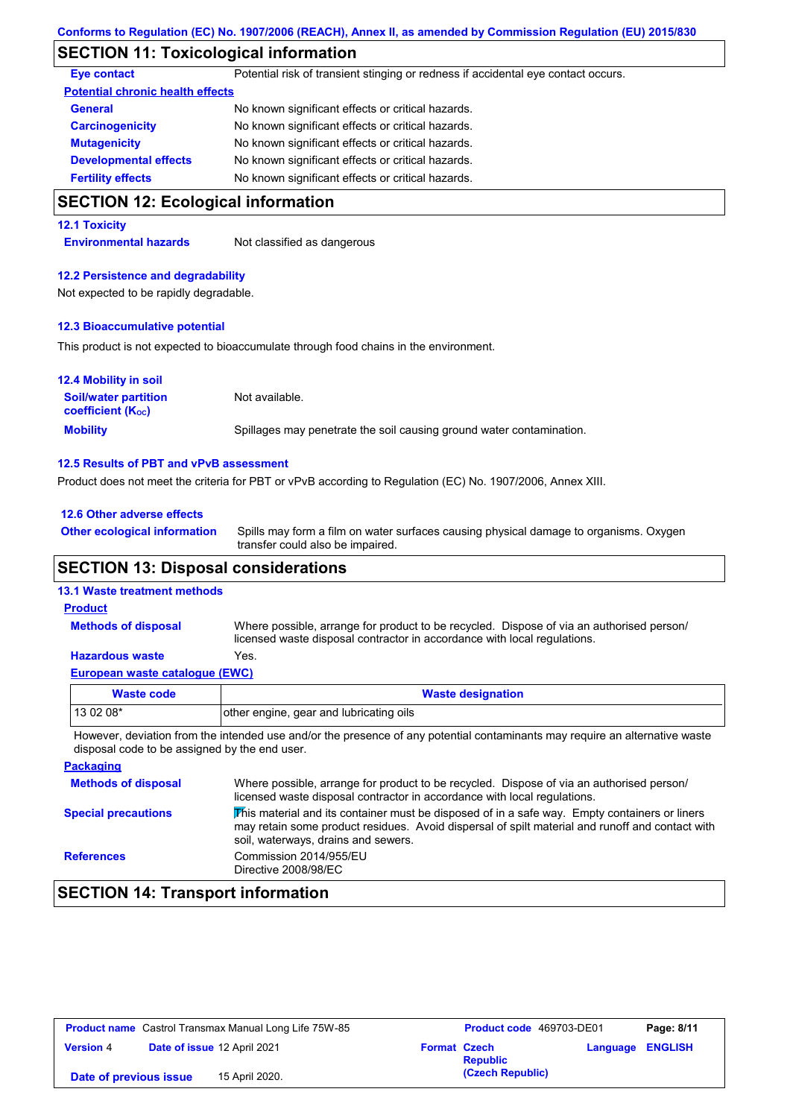## **SECTION 11: Toxicological information**

| <b>Developmental effects</b>            | No known significant effects or critical hazards.                                 |
|-----------------------------------------|-----------------------------------------------------------------------------------|
| <b>Mutagenicity</b>                     | No known significant effects or critical hazards.                                 |
|                                         |                                                                                   |
| <b>Carcinogenicity</b>                  | No known significant effects or critical hazards.                                 |
| <b>General</b>                          | No known significant effects or critical hazards.                                 |
| <b>Potential chronic health effects</b> |                                                                                   |
| Eye contact                             | Potential risk of transient stinging or redness if accidental eye contact occurs. |

### **SECTION 12: Ecological information**

**12.1 Toxicity**

**Environmental hazards** Not classified as dangerous

#### **12.2 Persistence and degradability**

Not expected to be rapidly degradable.

#### **12.3 Bioaccumulative potential**

This product is not expected to bioaccumulate through food chains in the environment.

| <b>12.4 Mobility in soil</b>                                  |                                                                      |  |  |  |
|---------------------------------------------------------------|----------------------------------------------------------------------|--|--|--|
| <b>Soil/water partition</b><br>coefficient (K <sub>oc</sub> ) | Not available.                                                       |  |  |  |
| <b>Mobility</b>                                               | Spillages may penetrate the soil causing ground water contamination. |  |  |  |

#### **12.5 Results of PBT and vPvB assessment**

Product does not meet the criteria for PBT or vPvB according to Regulation (EC) No. 1907/2006, Annex XIII.

### **12.6 Other adverse effects**

**Other ecological information**

Spills may form a film on water surfaces causing physical damage to organisms. Oxygen transfer could also be impaired.

### **SECTION 13: Disposal considerations**

#### **13.1 Waste treatment methods**

### **Product**

**Methods of disposal**

Where possible, arrange for product to be recycled. Dispose of via an authorised person/ licensed waste disposal contractor in accordance with local regulations.

#### **European waste catalogue (EWC) Hazardous waste** Yes.

| Waste code                                                                                                                  | <b>Waste designation</b>                |  |
|-----------------------------------------------------------------------------------------------------------------------------|-----------------------------------------|--|
| $130208*$                                                                                                                   | other engine, gear and lubricating oils |  |
| However, deviation from the intended use and/or the presence of any potential contaminants may require an alternative waste |                                         |  |

**Packaging** disposal code to be assigned by the end user.

| <b>Packaging</b>           |                                                                                                                                                                                                                                         |
|----------------------------|-----------------------------------------------------------------------------------------------------------------------------------------------------------------------------------------------------------------------------------------|
| <b>Methods of disposal</b> | Where possible, arrange for product to be recycled. Dispose of via an authorised person/<br>licensed waste disposal contractor in accordance with local regulations.                                                                    |
| <b>Special precautions</b> | This material and its container must be disposed of in a safe way. Empty containers or liners<br>may retain some product residues. Avoid dispersal of spilt material and runoff and contact with<br>soil, waterways, drains and sewers. |
| <b>References</b>          | Commission 2014/955/EU<br>Directive 2008/98/EC                                                                                                                                                                                          |

## **SECTION 14: Transport information**

| <b>Product name</b> Castrol Transmax Manual Long Life 75W-85 |  | Product code 469703-DE01    |                     | Page: 8/11       |                         |  |
|--------------------------------------------------------------|--|-----------------------------|---------------------|------------------|-------------------------|--|
| <b>Version 4</b>                                             |  | Date of issue 12 April 2021 | <b>Format Czech</b> | <b>Republic</b>  | <b>Language ENGLISH</b> |  |
| Date of previous issue                                       |  | 15 April 2020.              |                     | (Czech Republic) |                         |  |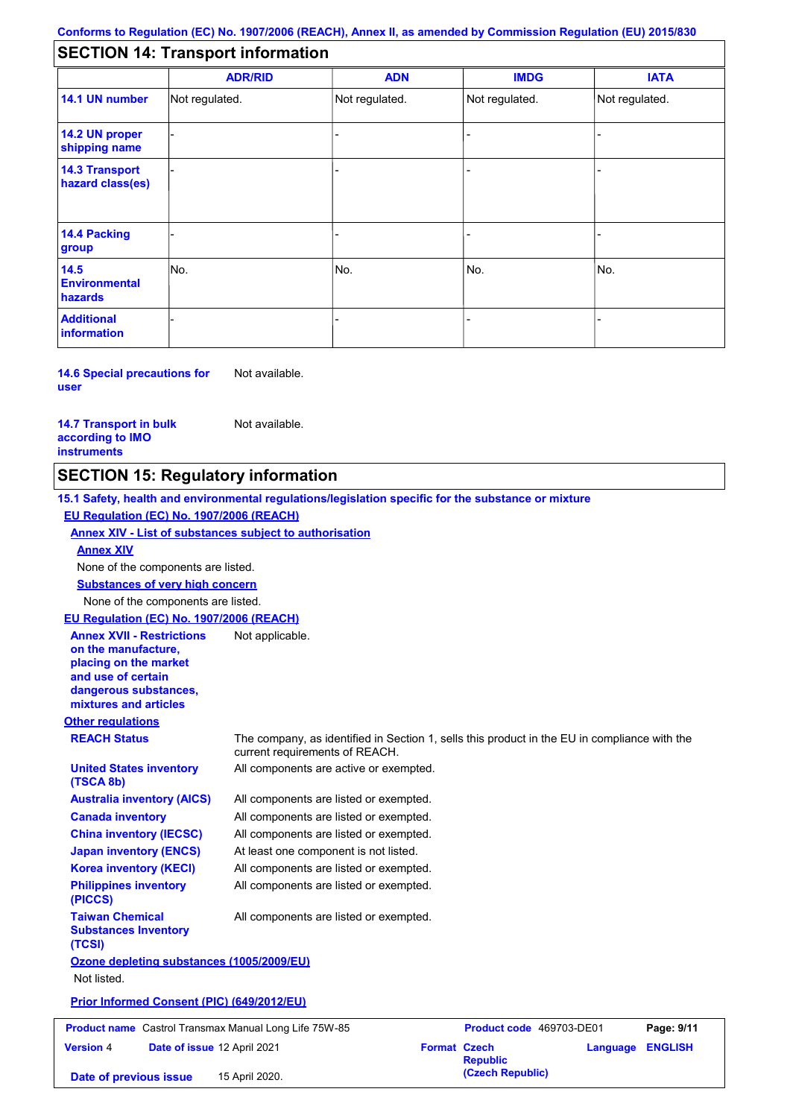## **SECTION 14: Transport information**

|                                           | <b>ADR/RID</b> | <b>ADN</b>     | <b>IMDG</b>    | <b>IATA</b>    |
|-------------------------------------------|----------------|----------------|----------------|----------------|
| 14.1 UN number                            | Not regulated. | Not regulated. | Not regulated. | Not regulated. |
| 14.2 UN proper<br>shipping name           |                |                | -              |                |
| <b>14.3 Transport</b><br>hazard class(es) |                |                | ۰              |                |
| 14.4 Packing<br>group                     |                |                |                |                |
| 14.5<br><b>Environmental</b><br>hazards   | No.            | No.            | No.            | No.            |
| <b>Additional</b><br>information          |                |                |                |                |

**14.6 Special precautions for user** Not available.

## **14.7 Transport in bulk according to IMO**

Not available.

**instruments**

## **SECTION 15: Regulatory information**

**Other regulations REACH Status** The company, as identified in Section 1, sells this product in the EU in compliance with the current requirements of REACH. **15.1 Safety, health and environmental regulations/legislation specific for the substance or mixture EU Regulation (EC) No. 1907/2006 (REACH) Annex XIV - List of substances subject to authorisation Substances of very high concern** None of the components are listed. All components are listed or exempted. All components are listed or exempted. All components are listed or exempted. At least one component is not listed. All components are active or exempted. All components are listed or exempted. All components are listed or exempted. **United States inventory (TSCA 8b) Australia inventory (AICS) Canada inventory China inventory (IECSC) Japan inventory (ENCS) Korea inventory (KECI) Philippines inventory (PICCS) Taiwan Chemical Substances Inventory (TCSI)** All components are listed or exempted. **Ozone depleting substances (1005/2009/EU)** Not listed. **Prior Informed Consent (PIC) (649/2012/EU)** None of the components are listed. **Annex XIV EU Regulation (EC) No. 1907/2006 (REACH) Annex XVII - Restrictions on the manufacture, placing on the market and use of certain dangerous substances, mixtures and articles** Not applicable. **Product name** Castrol Transmax Manual Long Life 75W-85 **Product code** 469703-DE01 **Page: 9/11** | **Version** 4 **Date of issue** 12 April 2021 **Format Czech Republic Language ENGLISH**

**(Czech Republic) Date of previous issue** 15 April 2020.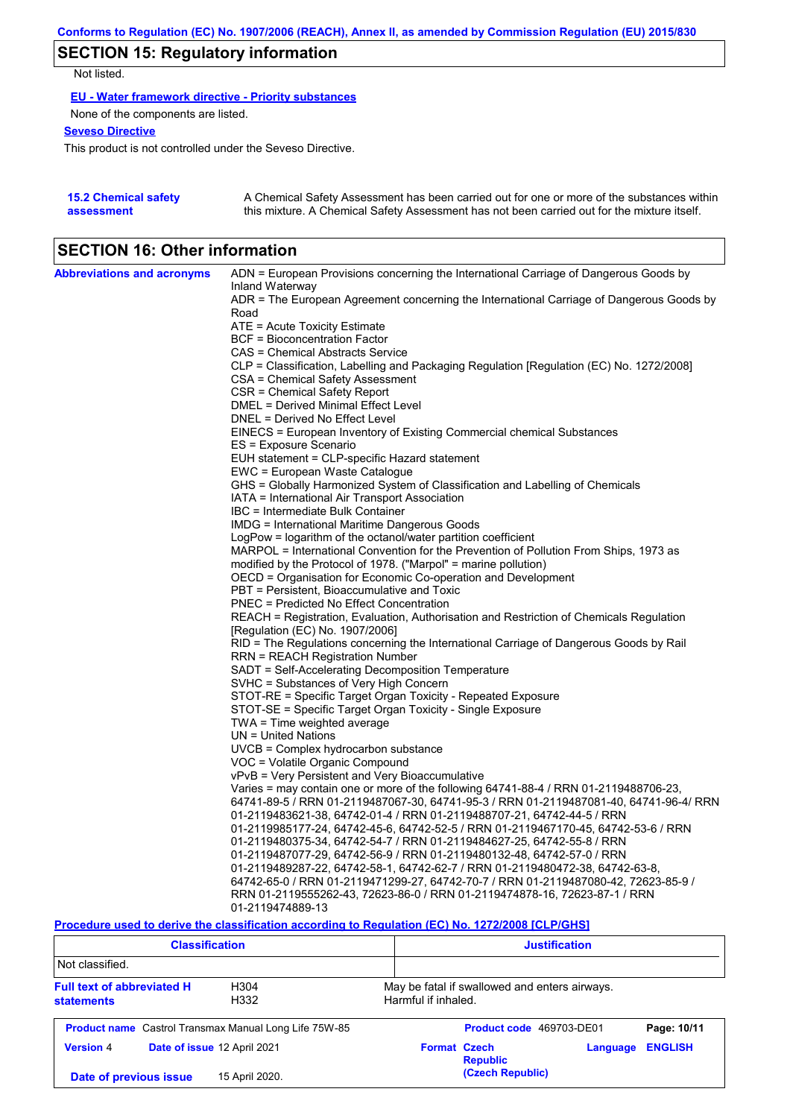## **SECTION 15: Regulatory information**

Not listed.

**EU - Water framework directive - Priority substances**

None of the components are listed.

### **Seveso Directive**

This product is not controlled under the Seveso Directive.

| <b>15.2 Chemical safety</b> | A Chemical Safety Assessment has been carried out for one or more of the substances within  |
|-----------------------------|---------------------------------------------------------------------------------------------|
| assessment                  | this mixture. A Chemical Safety Assessment has not been carried out for the mixture itself. |

## **SECTION 16: Other information**

| <b>Abbreviations and acronyms</b> | ADN = European Provisions concerning the International Carriage of Dangerous Goods by                                                                           |
|-----------------------------------|-----------------------------------------------------------------------------------------------------------------------------------------------------------------|
|                                   | Inland Waterway                                                                                                                                                 |
|                                   | ADR = The European Agreement concerning the International Carriage of Dangerous Goods by<br>Road                                                                |
|                                   | ATE = Acute Toxicity Estimate                                                                                                                                   |
|                                   | <b>BCF = Bioconcentration Factor</b>                                                                                                                            |
|                                   | CAS = Chemical Abstracts Service                                                                                                                                |
|                                   | CLP = Classification, Labelling and Packaging Regulation [Regulation (EC) No. 1272/2008]                                                                        |
|                                   | CSA = Chemical Safety Assessment                                                                                                                                |
|                                   | CSR = Chemical Safety Report                                                                                                                                    |
|                                   | DMEL = Derived Minimal Effect Level                                                                                                                             |
|                                   | DNEL = Derived No Effect Level                                                                                                                                  |
|                                   | EINECS = European Inventory of Existing Commercial chemical Substances                                                                                          |
|                                   | ES = Exposure Scenario                                                                                                                                          |
|                                   | EUH statement = CLP-specific Hazard statement                                                                                                                   |
|                                   | EWC = European Waste Catalogue                                                                                                                                  |
|                                   | GHS = Globally Harmonized System of Classification and Labelling of Chemicals                                                                                   |
|                                   | IATA = International Air Transport Association                                                                                                                  |
|                                   | IBC = Intermediate Bulk Container                                                                                                                               |
|                                   | <b>IMDG</b> = International Maritime Dangerous Goods                                                                                                            |
|                                   | LogPow = logarithm of the octanol/water partition coefficient                                                                                                   |
|                                   | MARPOL = International Convention for the Prevention of Pollution From Ships, 1973 as                                                                           |
|                                   | modified by the Protocol of 1978. ("Marpol" = marine pollution)                                                                                                 |
|                                   | OECD = Organisation for Economic Co-operation and Development                                                                                                   |
|                                   | PBT = Persistent, Bioaccumulative and Toxic                                                                                                                     |
|                                   | <b>PNEC = Predicted No Effect Concentration</b>                                                                                                                 |
|                                   | REACH = Registration, Evaluation, Authorisation and Restriction of Chemicals Regulation                                                                         |
|                                   | [Regulation (EC) No. 1907/2006]                                                                                                                                 |
|                                   | RID = The Regulations concerning the International Carriage of Dangerous Goods by Rail                                                                          |
|                                   | RRN = REACH Registration Number                                                                                                                                 |
|                                   | SADT = Self-Accelerating Decomposition Temperature                                                                                                              |
|                                   | SVHC = Substances of Very High Concern                                                                                                                          |
|                                   | STOT-RE = Specific Target Organ Toxicity - Repeated Exposure                                                                                                    |
|                                   | STOT-SE = Specific Target Organ Toxicity - Single Exposure                                                                                                      |
|                                   | TWA = Time weighted average                                                                                                                                     |
|                                   | $UN = United Nations$                                                                                                                                           |
|                                   | $UVCB = Complex\;hydrocarbon\; substance$                                                                                                                       |
|                                   | VOC = Volatile Organic Compound                                                                                                                                 |
|                                   | vPvB = Very Persistent and Very Bioaccumulative                                                                                                                 |
|                                   | Varies = may contain one or more of the following 64741-88-4 / RRN 01-2119488706-23,                                                                            |
|                                   | 64741-89-5 / RRN 01-2119487067-30, 64741-95-3 / RRN 01-2119487081-40, 64741-96-4/ RRN                                                                           |
|                                   | 01-2119483621-38, 64742-01-4 / RRN 01-2119488707-21, 64742-44-5 / RRN                                                                                           |
|                                   | 01-2119985177-24, 64742-45-6, 64742-52-5 / RRN 01-2119467170-45, 64742-53-6 / RRN                                                                               |
|                                   | 01-2119480375-34, 64742-54-7 / RRN 01-2119484627-25, 64742-55-8 / RRN                                                                                           |
|                                   | 01-2119487077-29, 64742-56-9 / RRN 01-2119480132-48, 64742-57-0 / RRN                                                                                           |
|                                   | 01-2119489287-22, 64742-58-1, 64742-62-7 / RRN 01-2119480472-38, 64742-63-8,                                                                                    |
|                                   | 64742-65-0 / RRN 01-2119471299-27, 64742-70-7 / RRN 01-2119487080-42, 72623-85-9 /<br>RRN 01-2119555262-43, 72623-86-0 / RRN 01-2119474878-16, 72623-87-1 / RRN |
|                                   |                                                                                                                                                                 |
|                                   | 01-2119474889-13                                                                                                                                                |

**Procedure used to derive the classification according to Regulation (EC) No. 1272/2008 [CLP/GHS]**

| <b>Classification</b>                                                              | <b>Justification</b>                                                 |
|------------------------------------------------------------------------------------|----------------------------------------------------------------------|
| Not classified.                                                                    |                                                                      |
| <b>Full text of abbreviated H</b><br>H <sub>304</sub><br>H332<br><b>statements</b> | May be fatal if swallowed and enters airways.<br>Harmful if inhaled. |
| <b>Product name</b> Castrol Transmax Manual Long Life 75W-85                       | Product code 469703-DE01<br>Page: 10/11                              |
| <b>Version 4</b><br>Date of issue 12 April 2021                                    | <b>ENGLISH</b><br><b>Format Czech</b><br>Language<br><b>Republic</b> |
| 15 April 2020.<br>Date of previous issue                                           | (Czech Republic)                                                     |